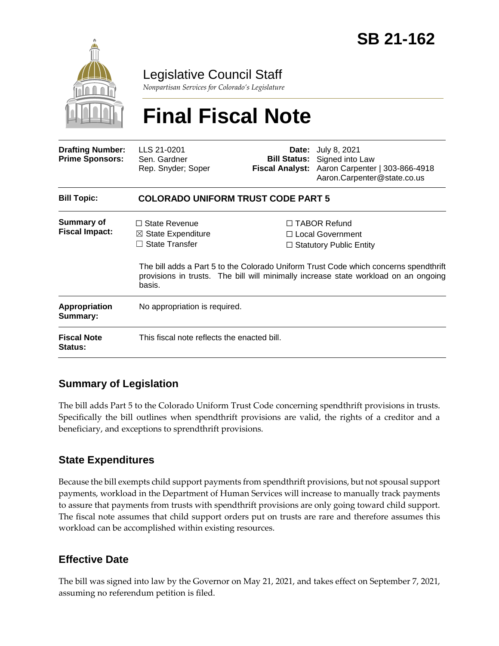

## Legislative Council Staff

*Nonpartisan Services for Colorado's Legislature*

# **Final Fiscal Note**

| <b>Drafting Number:</b><br><b>Prime Sponsors:</b> | LLS 21-0201<br>Sen. Gardner<br>Rep. Snyder; Soper                                        |  | <b>Date:</b> July 8, 2021<br><b>Bill Status:</b> Signed into Law<br>Fiscal Analyst: Aaron Carpenter   303-866-4918<br>Aaron.Carpenter@state.co.us                                                                                                          |  |
|---------------------------------------------------|------------------------------------------------------------------------------------------|--|------------------------------------------------------------------------------------------------------------------------------------------------------------------------------------------------------------------------------------------------------------|--|
| <b>Bill Topic:</b>                                | <b>COLORADO UNIFORM TRUST CODE PART 5</b>                                                |  |                                                                                                                                                                                                                                                            |  |
| <b>Summary of</b><br><b>Fiscal Impact:</b>        | $\Box$ State Revenue<br>$\boxtimes$ State Expenditure<br>$\Box$ State Transfer<br>basis. |  | $\Box$ TABOR Refund<br>□ Local Government<br>$\Box$ Statutory Public Entity<br>The bill adds a Part 5 to the Colorado Uniform Trust Code which concerns spendthrift<br>provisions in trusts. The bill will minimally increase state workload on an ongoing |  |
| <b>Appropriation</b><br>Summary:                  | No appropriation is required.                                                            |  |                                                                                                                                                                                                                                                            |  |
| <b>Fiscal Note</b><br><b>Status:</b>              | This fiscal note reflects the enacted bill.                                              |  |                                                                                                                                                                                                                                                            |  |

### **Summary of Legislation**

The bill adds Part 5 to the Colorado Uniform Trust Code concerning spendthrift provisions in trusts. Specifically the bill outlines when spendthrift provisions are valid, the rights of a creditor and a beneficiary, and exceptions to sprendthrift provisions.

#### **State Expenditures**

Because the bill exempts child support payments from spendthrift provisions, but not spousal support payments, workload in the Department of Human Services will increase to manually track payments to assure that payments from trusts with spendthrift provisions are only going toward child support. The fiscal note assumes that child support orders put on trusts are rare and therefore assumes this workload can be accomplished within existing resources.

#### **Effective Date**

The bill was signed into law by the Governor on May 21, 2021, and takes effect on September 7, 2021, assuming no referendum petition is filed.